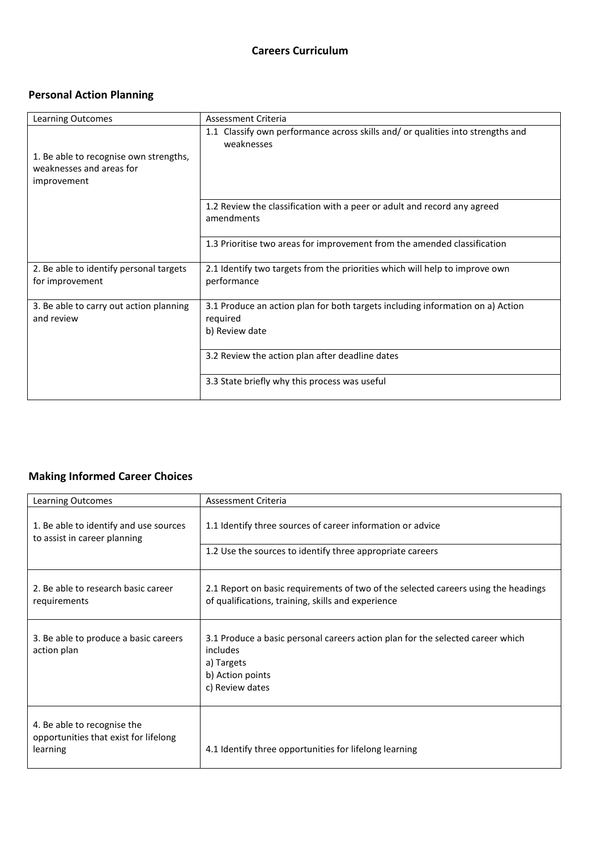## **Careers Curriculum**

## **Personal Action Planning**

| <b>Learning Outcomes</b>                                   | Assessment Criteria                                                                           |
|------------------------------------------------------------|-----------------------------------------------------------------------------------------------|
| 1. Be able to recognise own strengths,                     | 1.1 Classify own performance across skills and/ or qualities into strengths and<br>weaknesses |
| weaknesses and areas for<br>improvement                    |                                                                                               |
|                                                            | 1.2 Review the classification with a peer or adult and record any agreed<br>amendments        |
|                                                            | 1.3 Prioritise two areas for improvement from the amended classification                      |
| 2. Be able to identify personal targets<br>for improvement | 2.1 Identify two targets from the priorities which will help to improve own<br>performance    |
| 3. Be able to carry out action planning<br>and review      | 3.1 Produce an action plan for both targets including information on a) Action<br>required    |
|                                                            | b) Review date                                                                                |
|                                                            | 3.2 Review the action plan after deadline dates                                               |
|                                                            | 3.3 State briefly why this process was useful                                                 |

## **Making Informed Career Choices**

| Learning Outcomes                                                                | Assessment Criteria                                                                                                                             |
|----------------------------------------------------------------------------------|-------------------------------------------------------------------------------------------------------------------------------------------------|
| 1. Be able to identify and use sources<br>to assist in career planning           | 1.1 Identify three sources of career information or advice                                                                                      |
|                                                                                  | 1.2 Use the sources to identify three appropriate careers                                                                                       |
| 2. Be able to research basic career<br>requirements                              | 2.1 Report on basic requirements of two of the selected careers using the headings<br>of qualifications, training, skills and experience        |
| 3. Be able to produce a basic careers<br>action plan                             | 3.1 Produce a basic personal careers action plan for the selected career which<br>includes<br>a) Targets<br>b) Action points<br>c) Review dates |
| 4. Be able to recognise the<br>opportunities that exist for lifelong<br>learning | 4.1 Identify three opportunities for lifelong learning                                                                                          |